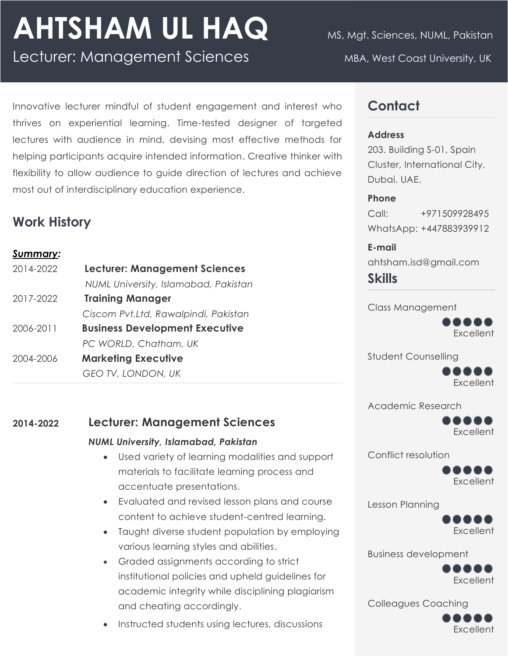# AHTSHAM UL HAQ MS, Mgt. Sciences, NUML, Pakistan

Lecturer: Management Sciences MBA, West Coast University, UK

## **Contact**

#### **Address**

203. Building S-01, Spain Cluster, International City, Dubai. UAE.

#### **Phone**

Call: +971509928495 WhatsApp: +447883939912

**E-mail**  ahtsham.isd@gmail.com **Skills**

Class Management



Student Counselling



Academic Research



Conflict resolution



Lesson Planning



Business development



Colleagues Coaching



Innovative lecturer mindful of student engagement and interest who thrives on experiential learning. Time-tested designer of targeted lectures with audience in mind, devising most effective methods for helping participants acquire intended information. Creative thinker with flexibility to allow audience to guide direction of lectures and achieve most out of interdisciplinary education experience.

## **Work History**

#### *Summary:*

| <b>Training Manager</b><br>2017-2022<br><b>Business Development Executive</b><br>2006-2011<br>PC WORLD, Chatham, UK<br><b>Marketing Executive</b><br>2004-2006<br>GEO TV, LONDON, UK | 2014-2022 | <b>Lecturer: Management Sciences</b> |
|--------------------------------------------------------------------------------------------------------------------------------------------------------------------------------------|-----------|--------------------------------------|
|                                                                                                                                                                                      |           | NUML University, Islamabad, Pakistan |
|                                                                                                                                                                                      |           |                                      |
|                                                                                                                                                                                      |           | Ciscom Pvt.Ltd, Rawalpindi, Pakistan |
|                                                                                                                                                                                      |           |                                      |
|                                                                                                                                                                                      |           |                                      |
|                                                                                                                                                                                      |           |                                      |
|                                                                                                                                                                                      |           |                                      |

### **2014-2022 Lecturer: Management Sciences**

#### *NUML University, Islamabad, Pakistan*

- Used variety of learning modalities and support materials to facilitate learning process and accentuate presentations.
- Evaluated and revised lesson plans and course content to achieve student-centred learning.
- Taught diverse student population by employing various learning styles and abilities.
- Graded assignments according to strict institutional policies and upheld guidelines for academic integrity while disciplining plagiarism and cheating accordingly.
- Instructed students using lectures, discussions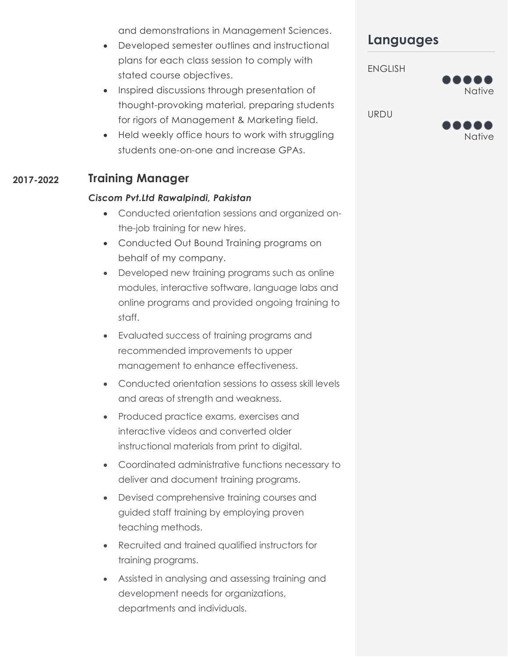and demonstrations in Management Sciences.

- Developed semester outlines and instructional plans for each class session to comply with stated course objectives.
- Inspired discussions through presentation of thought-provoking material, preparing students for rigors of Management & Marketing field.
- Held weekly office hours to work with struggling students one-on-one and increase GPAs.

#### **2017-2022 Training Manager**

#### *Ciscom Pvt.Ltd Rawalpindi, Pakistan*

- Conducted orientation sessions and organized onthe-job training for new hires.
- Conducted Out Bound Training programs on behalf of my company.
- Developed new training programs such as online modules, interactive software, language labs and online programs and provided ongoing training to staff.
- Evaluated success of training programs and recommended improvements to upper management to enhance effectiveness.
- Conducted orientation sessions to assess skill levels and areas of strength and weakness.
- Produced practice exams, exercises and interactive videos and converted older instructional materials from print to digital.
- Coordinated administrative functions necessary to deliver and document training programs.
- Devised comprehensive training courses and guided staff training by employing proven teaching methods.
- Recruited and trained qualified instructors for training programs.
- Assisted in analysing and assessing training and development needs for organizations, departments and individuals.

## **Languages**



Native

URDU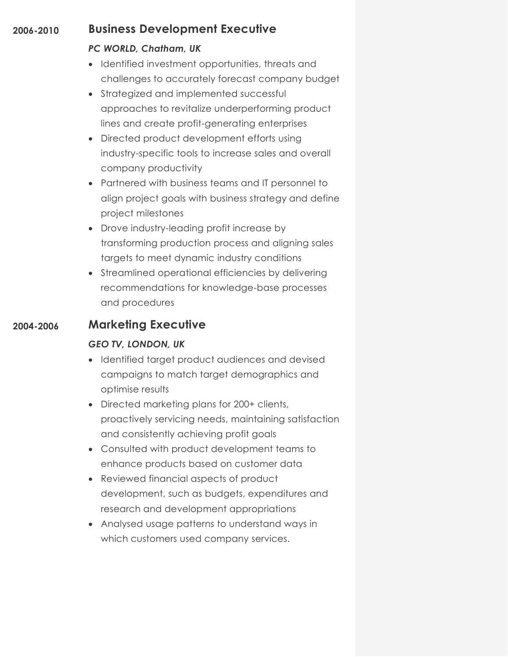#### **2006-2010 Business Development Executive**

#### *PC WORLD, Chatham, UK*

- Identified investment opportunities, threats and challenges to accurately forecast company budget
- Strategized and implemented successful approaches to revitalize underperforming product lines and create profit-generating enterprises
- Directed product development efforts using industry-specific tools to increase sales and overall company productivity
- Partnered with business teams and IT personnel to align project goals with business strategy and define project milestones
- Drove industry-leading profit increase by transforming production process and aligning sales targets to meet dynamic industry conditions
- Streamlined operational efficiencies by delivering recommendations for knowledge-base processes and procedures

### **2004-2006 Marketing Executive**

#### *GEO TV, LONDON, UK*

- Identified target product audiences and devised campaigns to match target demographics and optimise results
- Directed marketing plans for 200+ clients, proactively servicing needs, maintaining satisfaction and consistently achieving profit goals
- Consulted with product development teams to enhance products based on customer data
- Reviewed financial aspects of product development, such as budgets, expenditures and research and development appropriations
- Analysed usage patterns to understand ways in which customers used company services.